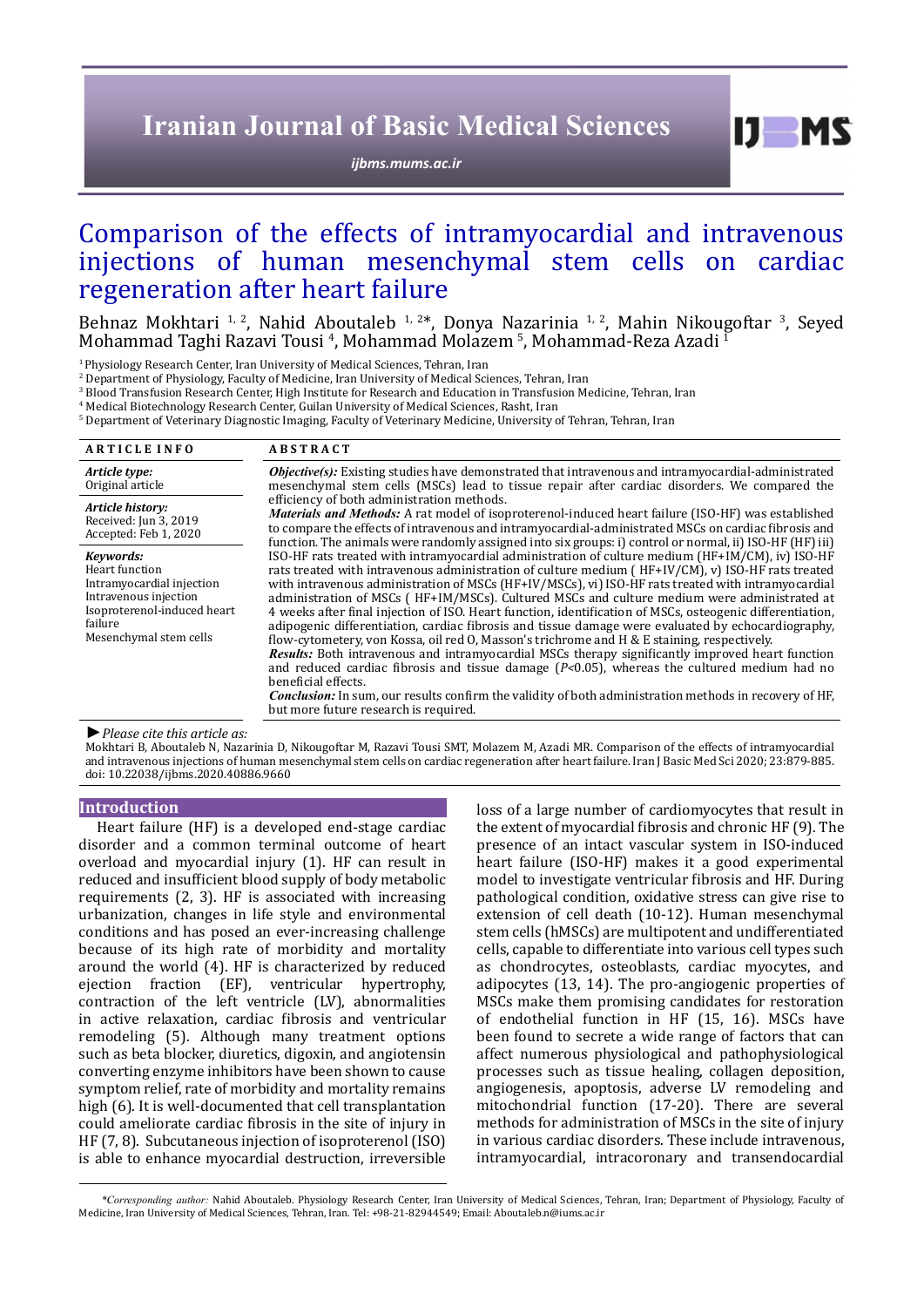# **Iranian Journal of Basic Medical Sciences**

*[ijbms.mums.ac.ir](http://ijbms.mums.ac.ir)*

 $I$   $I$   $M$   $S$ 

# Comparison of the effects of intramyocardial and intravenous<br>injections of human mesenchymal stem cells on cardiac injections of human mesenchymal stem cells on regeneration after heart failure

Behnaz Mokhtari <sup>1, 2</sup>, Nahid Aboutaleb <sup>1, 2\*</sup>, Donya Nazarinia <sup>1, 2</sup>, Mahin Nikougoftar <sup>3</sup>, Seyed Mohammad Taghi Razavi Tousi <sup>4</sup>, Mohammad Molazem <sup>5</sup>, Mohammad-Reza Azadi <sup>1</sup>

<sup>1</sup> Physiology Research Center, Iran University of Medical Sciences, Tehran, Iran

2 Department of Physiology, Faculty of Medicine, Iran University of Medical Sciences, Tehran, Iran

3 Blood Transfusion Research Center, High Institute for Research and Education in Transfusion Medicine, Tehran, Iran

4 Medical Biotechnology Research Center, Guilan University of Medical Sciences, Rasht, Iran

5 Department of Veterinary Diagnostic Imaging, Faculty of Veterinary Medicine, University of Tehran, Tehran, Iran

| <b>ARTICLE INFO</b>                                                                                                                                   | <b>ABSTRACT</b>                                                                                                                                                                                                                                                                                                                                                                                                                                                                                                                                                                                                                                                                                                                                                                                                                                                                                                                                                                                                                                                                                                                                                                                                                                                                                                                                                                                                                                                                                                                                                                                                                                                                                                   |
|-------------------------------------------------------------------------------------------------------------------------------------------------------|-------------------------------------------------------------------------------------------------------------------------------------------------------------------------------------------------------------------------------------------------------------------------------------------------------------------------------------------------------------------------------------------------------------------------------------------------------------------------------------------------------------------------------------------------------------------------------------------------------------------------------------------------------------------------------------------------------------------------------------------------------------------------------------------------------------------------------------------------------------------------------------------------------------------------------------------------------------------------------------------------------------------------------------------------------------------------------------------------------------------------------------------------------------------------------------------------------------------------------------------------------------------------------------------------------------------------------------------------------------------------------------------------------------------------------------------------------------------------------------------------------------------------------------------------------------------------------------------------------------------------------------------------------------------------------------------------------------------|
| Article type:<br>Original article                                                                                                                     | <i>Objective(s)</i> : Existing studies have demonstrated that intravenous and intramyocardial-administrated<br>mesenchymal stem cells (MSCs) lead to tissue repair after cardiac disorders. We compared the<br>efficiency of both administration methods.<br><b>Materials and Methods:</b> A rat model of isoproterenol-induced heart failure (ISO-HF) was established<br>to compare the effects of intravenous and intramyocardial-administrated MSCs on cardiac fibrosis and<br>function. The animals were randomly assigned into six groups: i) control or normal, ii) ISO-HF (HF) iii)<br>ISO-HF rats treated with intramyocardial administration of culture medium (HF+IM/CM), iv) ISO-HF<br>rats treated with intravenous administration of culture medium (HF+IV/CM), v) ISO-HF rats treated<br>with intravenous administration of MSCs (HF+IV/MSCs), vi) ISO-HF rats treated with intramyocardial<br>administration of MSCs (HF+IM/MSCs). Cultured MSCs and culture medium were administrated at<br>4 weeks after final injection of ISO. Heart function, identification of MSCs, osteogenic differentiation,<br>adipogenic differentiation, cardiac fibrosis and tissue damage were evaluated by echocardiography,<br>flow-cytometery, von Kossa, oil red O, Masson's trichrome and H & E staining, respectively.<br>Results: Both intravenous and intramyocardial MSCs therapy significantly improved heart function<br>and reduced cardiac fibrosis and tissue damage $(P<0.05)$ , whereas the cultured medium had no<br>beneficial effects.<br><i>Conclusion:</i> In sum, our results confirm the validity of both administration methods in recovery of HF,<br>but more future research is required. |
| Article history:<br>Received: Jun 3, 2019<br>Accepted: Feb 1, 2020                                                                                    |                                                                                                                                                                                                                                                                                                                                                                                                                                                                                                                                                                                                                                                                                                                                                                                                                                                                                                                                                                                                                                                                                                                                                                                                                                                                                                                                                                                                                                                                                                                                                                                                                                                                                                                   |
| Kevwords:<br>Heart function<br>Intramyocardial injection<br>Intravenous injection<br>Isoproterenol-induced heart<br>failure<br>Mesenchymal stem cells |                                                                                                                                                                                                                                                                                                                                                                                                                                                                                                                                                                                                                                                                                                                                                                                                                                                                                                                                                                                                                                                                                                                                                                                                                                                                                                                                                                                                                                                                                                                                                                                                                                                                                                                   |

*►Please cite this article as:*

Mokhtari B, Aboutaleb N, Nazarinia D, Nikougoftar M, Razavi Tousi SMT, Molazem M, Azadi MR. Comparison of the effects of intramyocardial and intravenous injections of human mesenchymal stem cells on cardiac regeneration after heart failure. Iran J Basic Med Sci 2020; 23:879-885. doi: 10.22038/ijbms.2020.40886.9660

## **Introduction**

Heart failure (HF) is a developed end-stage cardiac disorder and a common terminal outcome of heart overload and myocardial injury (1). HF can result in reduced and insufficient blood supply of body metabolic requirements (2, 3). HF is associated with increasing urbanization, changes in life style and environmental conditions and has posed an ever-increasing challenge because of its high rate of morbidity and mortality around the world (4). HF is characterized by reduced ejection fraction (EF), ventricular hypertrophy, contraction of the left ventricle (LV), abnormalities in active relaxation, cardiac fibrosis and ventricular remodeling (5). Although many treatment options such as beta blocker, diuretics, digoxin, and angiotensin converting enzyme inhibitors have been shown to cause symptom relief, rate of morbidity and mortality remains high (6). It is well-documented that cell transplantation could ameliorate cardiac fibrosis in the site of injury in HF (7, 8). Subcutaneous injection of isoproterenol (ISO) is able to enhance myocardial destruction, irreversible

loss of a large number of cardiomyocytes that result in the extent of myocardial fibrosis and chronic HF (9). The presence of an intact vascular system in ISO-induced heart failure (ISO-HF) makes it a good experimental model to investigate ventricular fibrosis and HF. During pathological condition, oxidative stress can give rise to extension of cell death (10-12). Human mesenchymal stem cells (hMSCs) are multipotent and undifferentiated cells, capable to differentiate into various cell types such as chondrocytes, osteoblasts, cardiac myocytes, and adipocytes (13, 14). The pro-angiogenic properties of MSCs make them promising candidates for restoration of endothelial function in HF (15, 16). MSCs have been found to secrete a wide range of factors that can affect numerous physiological and pathophysiological processes such as tissue healing, collagen deposition, angiogenesis, apoptosis, adverse LV remodeling and mitochondrial function (17-20). There are several methods for administration of MSCs in the site of injury in various cardiac disorders. These include intravenous, intramyocardial, intracoronary and transendocardial

*\*Corresponding author:* Nahid Aboutaleb. Physiology Research Center, Iran University of Medical Sciences, Tehran, Iran; Department of Physiology, Faculty of Medicine, Iran University of Medical Sciences, Tehran, Iran. Tel: +98-21-82944549; Email: Aboutaleb.n@iums.ac.ir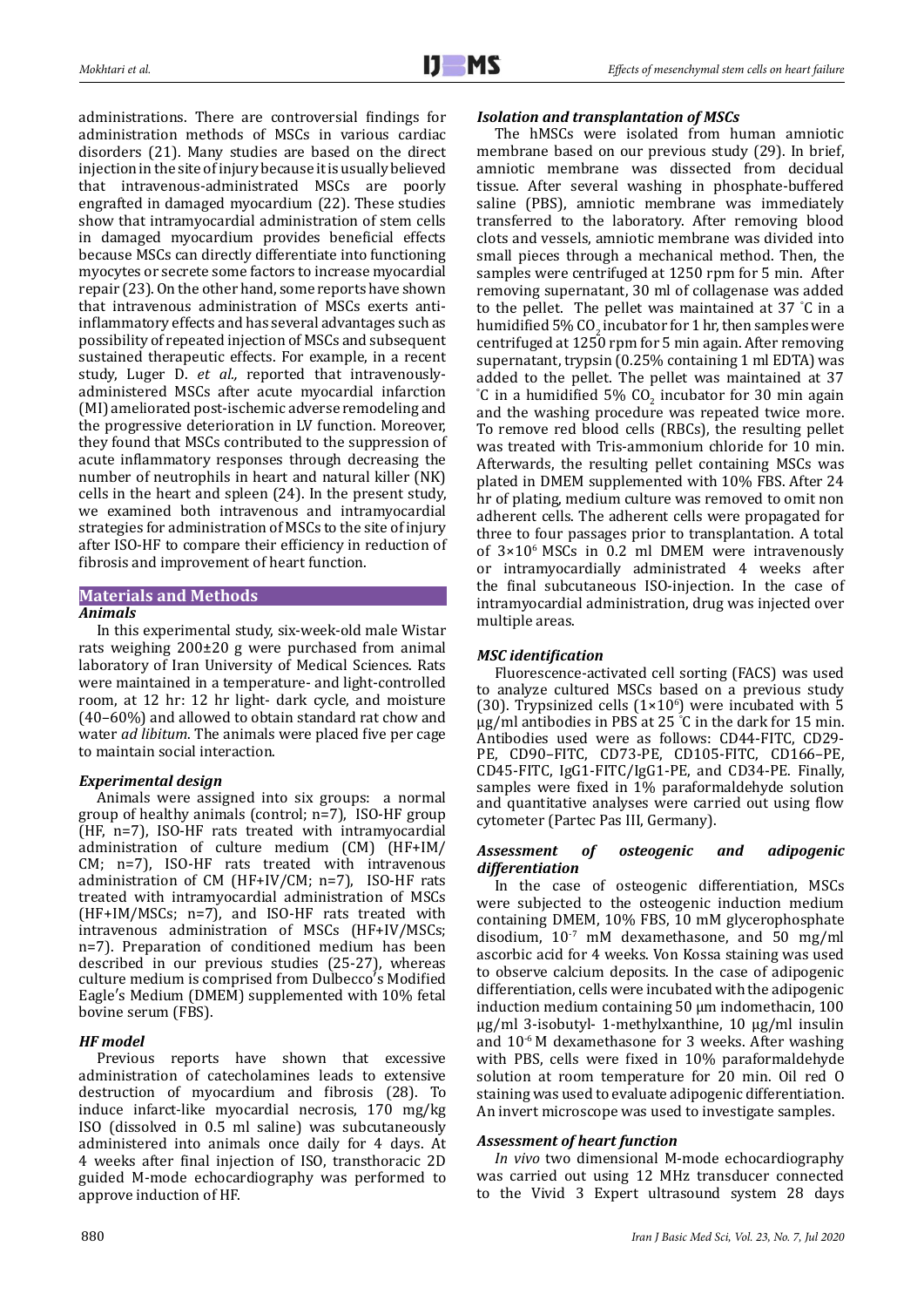administrations. There are controversial findings for administration methods of MSCs in various cardiac disorders (21). Many studies are based on the direct injection in the site of injury because it is usually believed that intravenous-administrated MSCs are poorly engrafted in damaged myocardium (22). These studies show that intramyocardial administration of stem cells in damaged myocardium provides beneficial effects because MSCs can directly differentiate into functioning myocytes or secrete some factors to increase myocardial repair (23). On the other hand, some reports have shown that intravenous administration of MSCs exerts antiinflammatory effects and has several advantages such as possibility of repeated injection of MSCs and subsequent sustained therapeutic effects. For example, in a recent study, Luger D. *et al.,* reported that intravenouslyadministered MSCs after acute myocardial infarction (MI) ameliorated post-ischemic adverse remodeling and the progressive deterioration in LV function. Moreover, they found that MSCs contributed to the suppression of acute inflammatory responses through decreasing the number of neutrophils in heart and natural killer (NK) cells in the heart and spleen (24). In the present study, we examined both intravenous and intramyocardial strategies for administration of MSCs to the site of injury after ISO-HF to compare their efficiency in reduction of fibrosis and improvement of heart function.

### **Materials and Methods** *Animals*

In this experimental study, six-week-old male Wistar rats weighing 200±20 g were purchased from animal laboratory of Iran University of Medical Sciences. Rats were maintained in a temperature- and light-controlled room, at 12 hr: 12 hr light- dark cycle, and moisture (40–60%) and allowed to obtain standard rat chow and water *ad libitum*. The animals were placed five per cage to maintain social interaction.

# *Experimental design*

Animals were assigned into six groups: a normal group of healthy animals (control; n=7), ISO-HF group (HF, n=7), ISO-HF rats treated with intramyocardial administration of culture medium (CM) (HF+IM/ CM; n=7), ISO-HF rats treated with intravenous administration of CM (HF+IV/CM; n=7), ISO-HF rats treated with intramyocardial administration of MSCs (HF+IM/MSCs; n=7), and ISO-HF rats treated with intravenous administration of MSCs (HF+IV/MSCs; n=7). Preparation of conditioned medium has been described in our previous studies (25-27), whereas culture medium is comprised from Dulbecco′s Modified Eagle′s Medium (DMEM) supplemented with 10% fetal bovine serum (FBS).

# *HF model*

Previous reports have shown that excessive administration of catecholamines leads to extensive destruction of myocardium and fibrosis (28). To induce infarct-like myocardial necrosis, 170 mg/kg ISO (dissolved in 0.5 ml saline) was subcutaneously administered into animals once daily for 4 days. At 4 weeks after final injection of ISO, transthoracic 2D guided M-mode echocardiography was performed to approve induction of HF.

# *Isolation and transplantation of MSCs*

The hMSCs were isolated from human amniotic membrane based on our previous study (29). In brief, amniotic membrane was dissected from decidual tissue. After several washing in phosphate-buffered saline (PBS), amniotic membrane was immediately transferred to the laboratory. After removing blood clots and vessels, amniotic membrane was divided into small pieces through a mechanical method. Then, the samples were centrifuged at 1250 rpm for 5 min. After removing supernatant, 30 ml of collagenase was added to the pellet. The pellet was maintained at 37 ° C in a humidified 5% CO<sub>2</sub> incubator for 1 hr, then samples were centrifuged at 1250 rpm for 5 min again. After removing supernatant, trypsin (0.25% containing 1 ml EDTA) was added to the pellet. The pellet was maintained at 37  $\degree$ C in a humidified 5% CO<sub>2</sub> incubator for 30 min again and the washing procedure was repeated twice more. To remove red blood cells (RBCs), the resulting pellet was treated with Tris-ammonium chloride for 10 min. Afterwards, the resulting pellet containing MSCs was plated in DMEM supplemented with 10% FBS. After 24 hr of plating, medium culture was removed to omit non adherent cells. The adherent cells were propagated for three to four passages prior to transplantation. A total of 3×106 MSCs in 0.2 ml DMEM were intravenously or intramyocardially administrated 4 weeks after the final subcutaneous ISO-injection. In the case of intramyocardial administration, drug was injected over multiple areas.

# *MSC identification*

Fluorescence-activated cell sorting (FACS) was used to analyze cultured MSCs based on a previous study (30). Trypsinized cells  $(1\times10^{6})$  were incubated with 5 µg/ml antibodies in PBS at 25 ° C in the dark for 15 min. Antibodies used were as follows: CD44-FITC, CD29- PE, CD90–FITC, CD73-PE, CD105-FITC, CD166–PE, CD45-FITC, IgG1-FITC/IgG1-PE, and CD34-PE. Finally, samples were fixed in 1% paraformaldehyde solution and quantitative analyses were carried out using flow cytometer (Partec Pas III, Germany).

## *Assessment of osteogenic and adipogenic differentiation*

In the case of osteogenic differentiation, MSCs were subjected to the osteogenic induction medium containing DMEM, 10% FBS, 10 mM glycerophosphate disodium,  $10^{-7}$  mM dexamethasone, and 50 mg/ml ascorbic acid for 4 weeks. Von Kossa staining was used to observe calcium deposits. In the case of adipogenic differentiation, cells were incubated with the adipogenic induction medium containing 50 µm indomethacin, 100 µg/ml 3-isobutyl- 1-methylxanthine, 10 µg/ml insulin and  $10^{-6}$  M dexamethasone for 3 weeks. After washing with PBS, cells were fixed in 10% paraformaldehyde solution at room temperature for 20 min. Oil red O staining was used to evaluate adipogenic differentiation. An invert microscope was used to investigate samples.

# *Assessment of heart function*

*In vivo* two dimensional M-mode echocardiography was carried out using 12 MHz transducer connected to the Vivid 3 Expert ultrasound system 28 days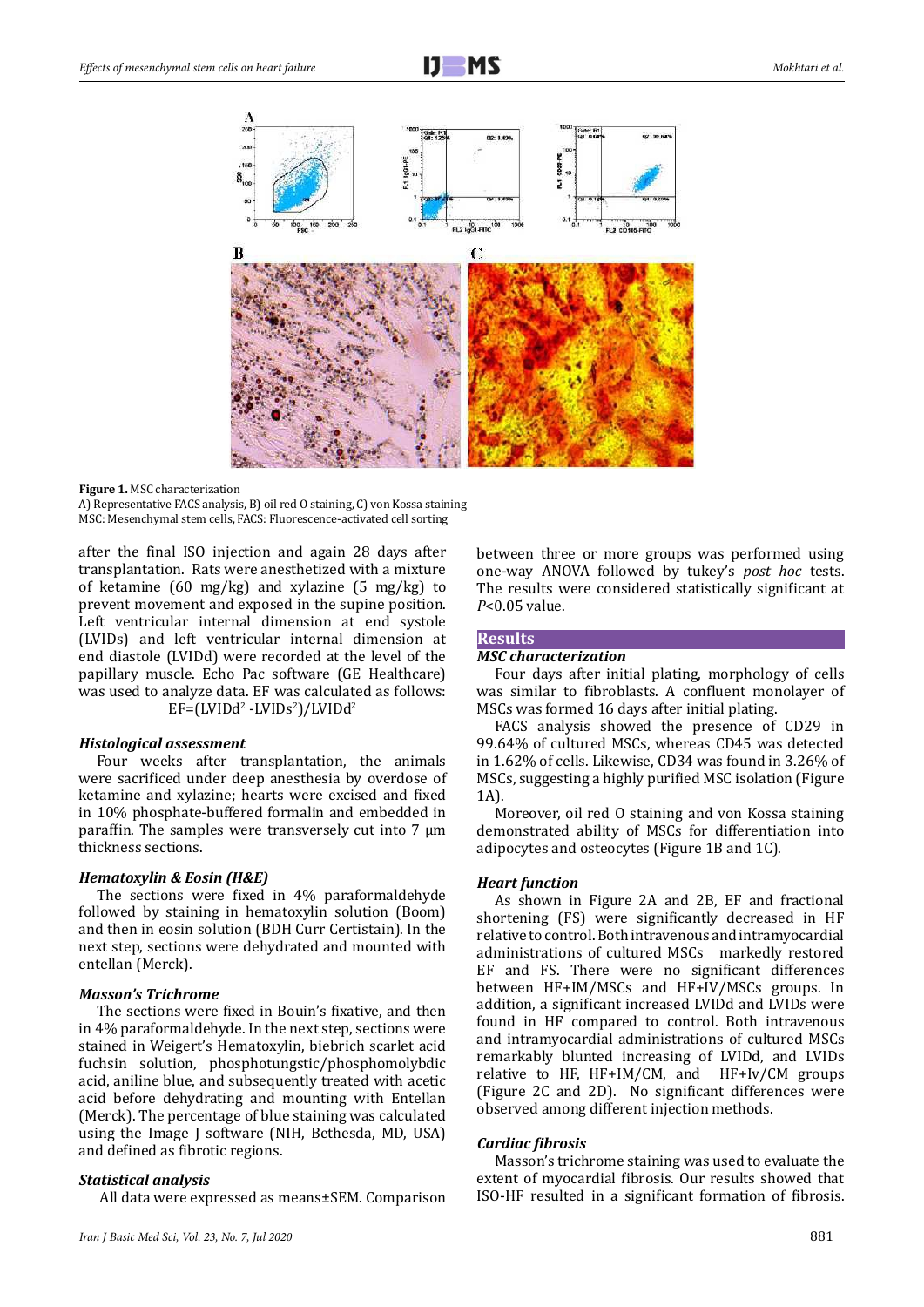

**Figure 1.** MSC characterization

A) Representative FACS analysis, B) oil red O staining, C) von Kossa staining MSC: Mesenchymal stem cells, FACS: Fluorescence-activated cell sorting

after the final ISO injection and again 28 days after transplantation. Rats were anesthetized with a mixture of ketamine (60 mg/kg) and xylazine (5 mg/kg) to prevent movement and exposed in the supine position. Left ventricular internal dimension at end systole (LVIDs) and left ventricular internal dimension at end diastole (LVIDd) were recorded at the level of the papillary muscle. Echo Pac software (GE Healthcare) was used to analyze data. EF was calculated as follows:  $EF = (LVIDd<sup>2</sup> - LVIDs<sup>2</sup>)/LVIDd<sup>2</sup>$ 

### *Histological assessment*

Four weeks after transplantation, the animals were sacrificed under deep anesthesia by overdose of ketamine and xylazine; hearts were excised and fixed in 10% phosphate-buffered formalin and embedded in paraffin. The samples were transversely cut into  $7 \mu m$ thickness sections.

### *Hematoxylin & Eosin (H&E)*

The sections were fixed in 4% paraformaldehyde followed by staining in hematoxylin solution (Boom) and then in eosin solution (BDH Curr Certistain). In the next step, sections were dehydrated and mounted with entellan (Merck).

### *Masson's Trichrome*

The sections were fixed in Bouin's fixative, and then in 4% paraformaldehyde. In the next step, sections were stained in Weigert's Hematoxylin, biebrich scarlet acid fuchsin solution, phosphotungstic/phosphomolybdic acid, aniline blue, and subsequently treated with acetic acid before dehydrating and mounting with Entellan (Merck). The percentage of blue staining was calculated using the Image J software (NIH, Bethesda, MD, USA) and defined as fibrotic regions.

### *Statistical analysis*

All data were expressed as means±SEM. Comparison

between three or more groups was performed using one-way ANOVA followed by tukey's *post hoc* tests. The results were considered statistically significant at *P*<0.05 value.

# **Results**

### *MSC characterization*

Four days after initial plating, morphology of cells was similar to fibroblasts. A confluent monolayer of MSCs was formed 16 days after initial plating.

FACS analysis showed the presence of CD29 in 99.64% of cultured MSCs, whereas CD45 was detected in 1.62% of cells. Likewise, CD34 was found in 3.26% of MSCs, suggesting a highly purified MSC isolation (Figure 1A).

Moreover, oil red O staining and von Kossa staining demonstrated ability of MSCs for differentiation into adipocytes and osteocytes (Figure 1B and 1C).

### *Heart function*

As shown in Figure 2A and 2B, EF and fractional shortening (FS) were significantly decreased in HF relative to control. Both intravenous and intramyocardial administrations of cultured MSCs markedly restored EF and FS. There were no significant differences between HF+IM/MSCs and HF+IV/MSCs groups. In addition, a significant increased LVIDd and LVIDs were found in HF compared to control. Both intravenous and intramyocardial administrations of cultured MSCs remarkably blunted increasing of LVIDd, and LVIDs relative to HF, HF+IM/CM, and HF+Iv/CM groups (Figure 2C and 2D). No significant differences were observed among different injection methods.

### *Cardiac fibrosis*

Masson's trichrome staining was used to evaluate the extent of myocardial fibrosis. Our results showed that ISO-HF resulted in a significant formation of fibrosis.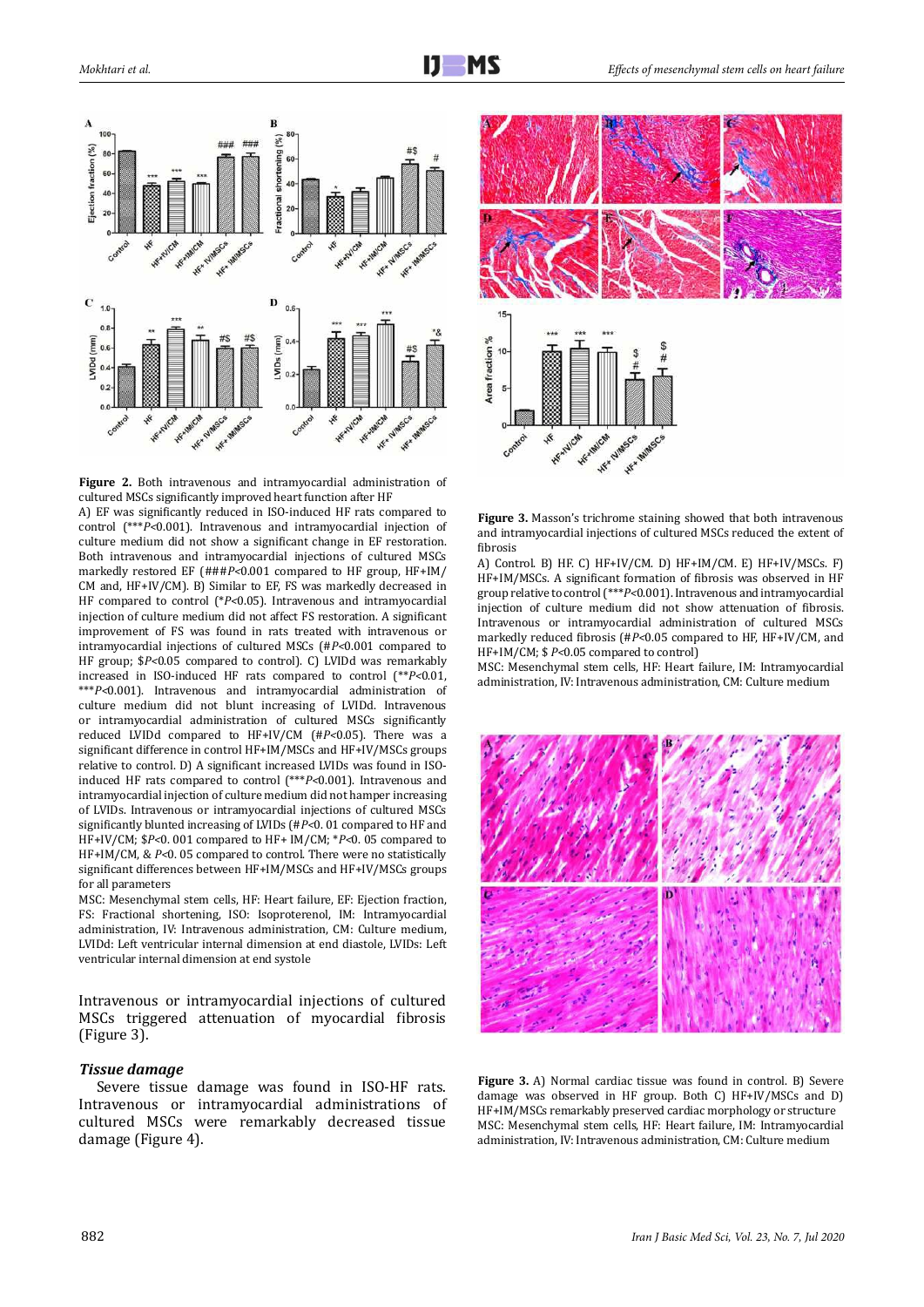

2 culture medium did not blunt increasing of LVIDd. Intravenous **Figure 2.** Both intravenous and intramyocardial administration of cultured MSCs significantly improved heart function after HF A) EF was significantly reduced in ISO-induced HF rats compared to control (\*\*\**P<*0.001). Intravenous and intramyocardial injection of culture medium did not show a significant change in EF restoration. Both intravenous and intramyocardial injections of cultured MSCs markedly restored EF (###*P<*0.001 compared to HF group, HF+IM/ CM and, HF+IV/CM). B) Similar to EF, FS was markedly decreased in HF compared to control (\**P<*0.05). Intravenous and intramyocardial injection of culture medium did not affect FS restoration. A significant improvement of FS was found in rats treated with intravenous or intramyocardial injections of cultured MSCs (#*P<*0.001 compared to HF group; \$*P<*0.05 compared to control). C) LVIDd was remarkably increased in ISO-induced HF rats compared to control (\*\**P<*0.01, \*\*\**P<*0.001). Intravenous and intramyocardial administration of or intramyocardial administration of cultured MSCs significantly reduced LVIDd compared to HF+IV/CM (#*P<*0.05). There was a significant difference in control HF+IM/MSCs and HF+IV/MSCs groups relative to control. D) A significant increased LVIDs was found in ISOinduced HF rats compared to control (\*\*\**P<*0.001). Intravenous and intramyocardial injection of culture medium did not hamper increasing of LVIDs. Intravenous or intramyocardial injections of cultured MSCs significantly blunted increasing of LVIDs (#*P<*0. 01 compared to HF and HF+IV/CM; \$*P<*0. 001 compared to HF+ IM/CM; \**P<*0. 05 compared to HF+IM/CM, & *P<*0. 05 compared to control. There were no statistically significant differences between HF+IM/MSCs and HF+IV/MSCs groups for all parameters

MSC: Mesenchymal stem cells, HF: Heart failure, EF: Ejection fraction, FS: Fractional shortening, ISO: Isoproterenol, IM: Intramyocardial administration, IV: Intravenous administration, CM: Culture medium, LVIDd: Left ventricular internal dimension at end diastole, LVIDs: Left ventricular internal dimension at end systole

Intravenous or intramyocardial injections of cultured MSCs triggered attenuation of myocardial fibrosis (Figure 3).

### *Tissue damage*

Severe tissue damage was found in ISO-HF rats. Intravenous or intramyocardial administrations of cultured MSCs were remarkably decreased tissue damage (Figure 4).



**Figure 3.** Masson's trichrome staining showed that both intravenous and intramyocardial injections of cultured MSCs reduced the extent of fibrosis

A) Control. B) HF. C) HF+IV/CM. D) HF+IM/CM. E) HF+IV/MSCs. F) HF+IM/MSCs. A significant formation of fibrosis was observed in HF group relative to control (\*\*\**P<*0.001). Intravenous and intramyocardial injection of culture medium did not show attenuation of fibrosis. Intravenous or intramyocardial administration of cultured MSCs markedly reduced fibrosis (#*P<*0.05 compared to HF, HF+IV/CM, and HF+IM/CM; \$ *P<*0.05 compared to control)

MSC: Mesenchymal stem cells, HF: Heart failure, IM: Intramyocardial administration, IV: Intravenous administration, CM: Culture medium



**Figure 3.** A) Normal cardiac tissue was found in control. B) Severe damage was observed in HF group. Both C) HF+IV/MSCs and D) HF+IM/MSCs remarkably preserved cardiac morphology or structure MSC: Mesenchymal stem cells, HF: Heart failure, IM: Intramyocardial administration, IV: Intravenous administration, CM: Culture medium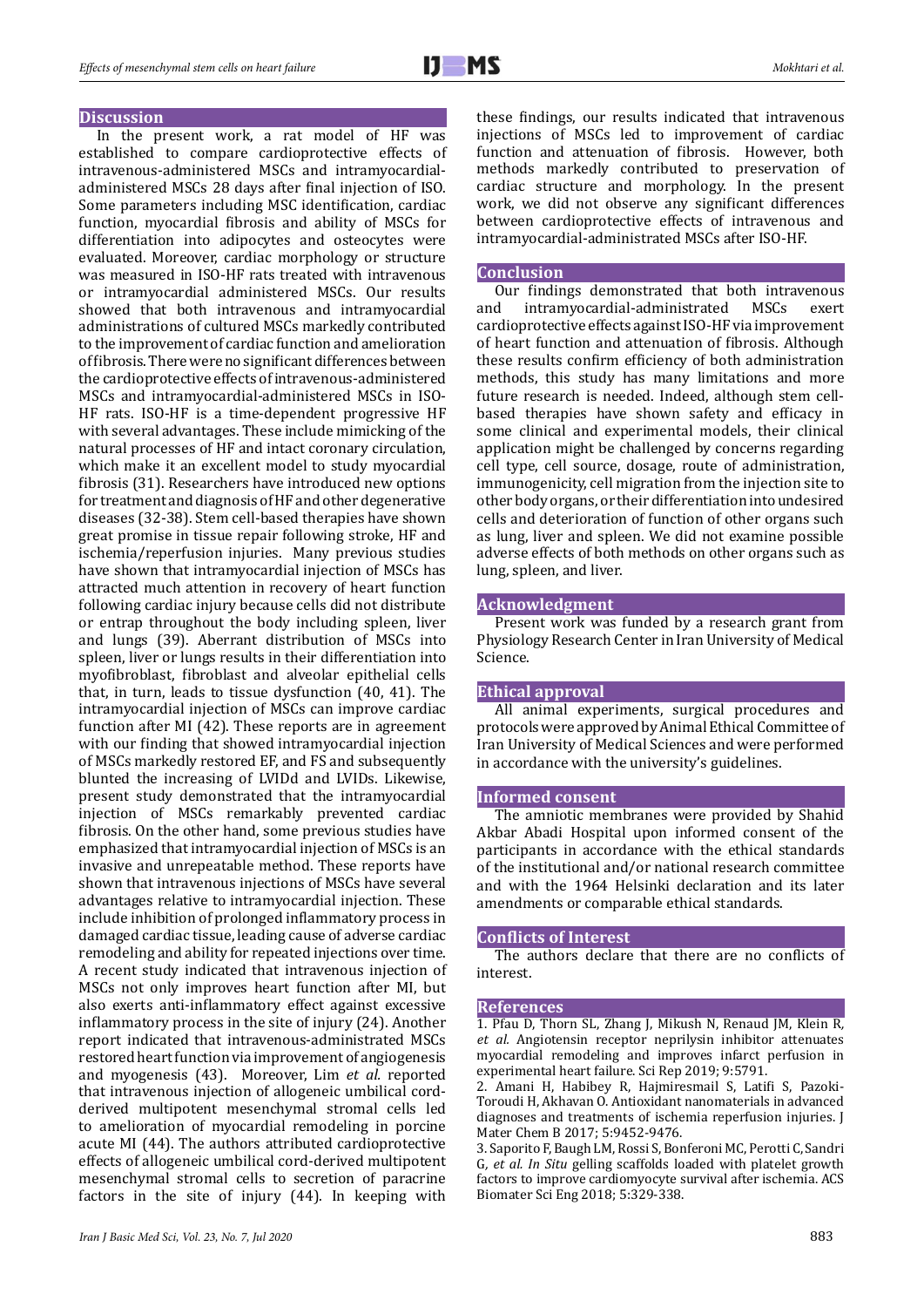

### **Discussion**

In the present work, a rat model of HF was established to compare cardioprotective effects of intravenous-administered MSCs and intramyocardialadministered MSCs 28 days after final injection of ISO. Some parameters including MSC identification, cardiac function, myocardial fibrosis and ability of MSCs for differentiation into adipocytes and osteocytes were evaluated. Moreover, cardiac morphology or structure was measured in ISO-HF rats treated with intravenous or intramyocardial administered MSCs. Our results showed that both intravenous and intramyocardial administrations of cultured MSCs markedly contributed to the improvement of cardiac function and amelioration of fibrosis. There were no significant differences between the cardioprotective effects of intravenous-administered MSCs and intramyocardial-administered MSCs in ISO-HF rats. ISO-HF is a time-dependent progressive HF with several advantages. These include mimicking of the natural processes of HF and intact coronary circulation, which make it an excellent model to study myocardial fibrosis (31). Researchers have introduced new options for treatment and diagnosis of HF and other degenerative diseases (32-38). Stem cell-based therapies have shown great promise in tissue repair following stroke, HF and ischemia/reperfusion injuries. Many previous studies have shown that intramyocardial injection of MSCs has attracted much attention in recovery of heart function following cardiac injury because cells did not distribute or entrap throughout the body including spleen, liver and lungs (39). Aberrant distribution of MSCs into spleen, liver or lungs results in their differentiation into myofibroblast, fibroblast and alveolar epithelial cells that, in turn, leads to tissue dysfunction (40, 41). The intramyocardial injection of MSCs can improve cardiac function after MI (42). These reports are in agreement with our finding that showed intramyocardial injection of MSCs markedly restored EF, and FS and subsequently blunted the increasing of LVIDd and LVIDs. Likewise, present study demonstrated that the intramyocardial injection of MSCs remarkably prevented cardiac fibrosis. On the other hand, some previous studies have emphasized that intramyocardial injection of MSCs is an invasive and unrepeatable method. These reports have shown that intravenous injections of MSCs have several advantages relative to intramyocardial injection. These include inhibition of prolonged inflammatory process in damaged cardiac tissue, leading cause of adverse cardiac remodeling and ability for repeated injections over time. A recent study indicated that intravenous injection of MSCs not only improves heart function after MI, but also exerts anti-inflammatory effect against excessive inflammatory process in the site of injury (24). Another report indicated that intravenous-administrated MSCs restored heart function via improvement of angiogenesis and myogenesis (43). Moreover, Lim *et al.* reported that intravenous injection of allogeneic umbilical cordderived multipotent mesenchymal stromal cells led to amelioration of myocardial remodeling in porcine acute MI (44). The authors attributed cardioprotective effects of allogeneic umbilical cord-derived multipotent mesenchymal stromal cells to secretion of paracrine factors in the site of injury (44). In keeping with

these findings, our results indicated that intravenous injections of MSCs led to improvement of cardiac function and attenuation of fibrosis. However, both methods markedly contributed to preservation of cardiac structure and morphology. In the present work, we did not observe any significant differences between cardioprotective effects of intravenous and intramyocardial-administrated MSCs after ISO-HF.

#### **Conclusion**

Our findings demonstrated that both intravenous<br>and intramyocardial-administrated MSCs exert intramyocardial-administrated cardioprotective effects against ISO-HF via improvement of heart function and attenuation of fibrosis. Although these results confirm efficiency of both administration methods, this study has many limitations and more future research is needed. Indeed, although stem cellbased therapies have shown safety and efficacy in some clinical and experimental models, their clinical application might be challenged by concerns regarding cell type, cell source, dosage, route of administration, immunogenicity, cell migration from the injection site to other body organs, or their differentiation into undesired cells and deterioration of function of other organs such as lung, liver and spleen. We did not examine possible adverse effects of both methods on other organs such as lung, spleen, and liver.

### **Acknowledgment**

Present work was funded by a research grant from Physiology Research Center in Iran University of Medical Science.

### **Ethical approval**

All animal experiments, surgical procedures and protocols were approved by Animal Ethical Committee of Iran University of Medical Sciences and were performed in accordance with the university's guidelines.

#### **Informed consent**

The amniotic membranes were provided by Shahid Akbar Abadi Hospital upon informed consent of the participants in accordance with the ethical standards of the institutional and/or national research committee and with the 1964 Helsinki declaration and its later amendments or comparable ethical standards.

#### **Conflicts of Interest**

The authors declare that there are no conflicts of interest.

### **References**

1. Pfau D, Thorn SL, Zhang J, Mikush N, Renaud JM, Klein R*, et al.* Angiotensin receptor neprilysin inhibitor attenuates myocardial remodeling and improves infarct perfusion in experimental heart failure. Sci Rep 2019; 9:5791.

2. Amani H, Habibey R, Hajmiresmail S, Latifi S, Pazoki-Toroudi H, Akhavan O. Antioxidant nanomaterials in advanced diagnoses and treatments of ischemia reperfusion injuries. J Mater Chem B 2017; 5:9452-9476.

3. Saporito F, Baugh LM, Rossi S, Bonferoni MC, Perotti C, Sandri G*, et al. In Situ* gelling scaffolds loaded with platelet growth factors to improve cardiomyocyte survival after ischemia. ACS Biomater Sci Eng 2018; 5:329-338.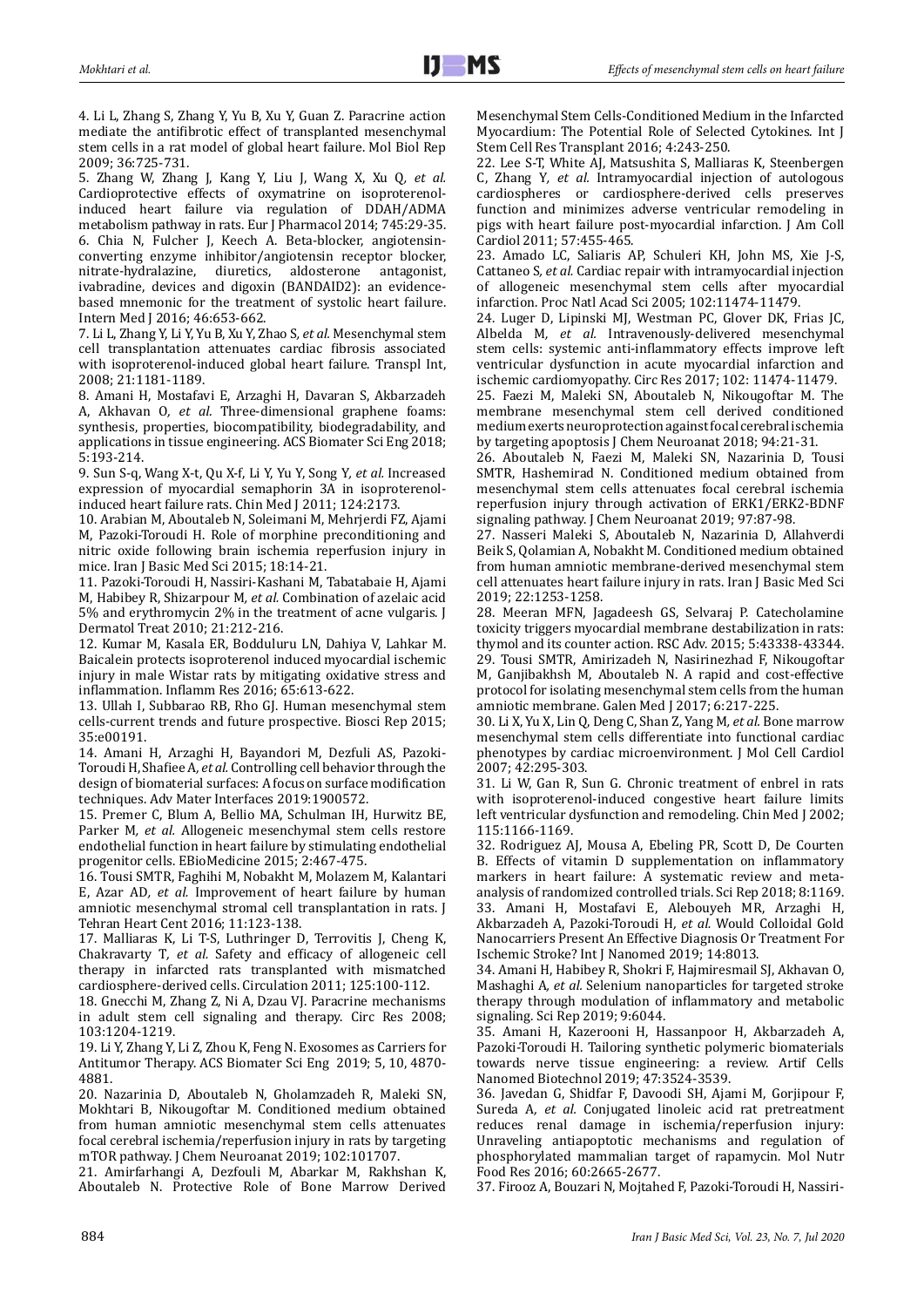4. Li L, Zhang S, Zhang Y, Yu B, Xu Y, Guan Z. Paracrine action mediate the antifibrotic effect of transplanted mesenchymal stem cells in a rat model of global heart failure. Mol Biol Rep 2009; 36:725-731.

5. Zhang W, Zhang J, Kang Y, Liu J, Wang X, Xu Q*, et al.* Cardioprotective effects of oxymatrine on isoproterenolinduced heart failure via regulation of DDAH/ADMA metabolism pathway in rats. Eur J Pharmacol 2014; 745:29-35. 6. Chia N, Fulcher J, Keech A. Beta‐blocker, angiotensin‐ converting enzyme inhibitor/angiotensin receptor blocker, nitrate-hydralazine, diuretics, aldosterone antagonist. diuretics, aldosterone ivabradine, devices and digoxin (BANDAID2): an evidencebased mnemonic for the treatment of systolic heart failure. Intern Med J 2016; 46:653-662.

7. Li L, Zhang Y, Li Y, Yu B, Xu Y, Zhao S*, et al.* Mesenchymal stem cell transplantation attenuates cardiac fibrosis associated with isoproterenol-induced global heart failure. Transpl Int, 2008; 21:1181-1189.

8. Amani H, Mostafavi E, Arzaghi H, Davaran S, Akbarzadeh A, Akhavan O*, et al.* Three-dimensional graphene foams: synthesis, properties, biocompatibility, biodegradability, and applications in tissue engineering. ACS Biomater Sci Eng 2018; 5:193-214.

9. Sun S-q, Wang X-t, Qu X-f, Li Y, Yu Y, Song Y*, et al.* Increased expression of myocardial semaphorin 3A in isoproterenolinduced heart failure rats. Chin Med J 2011; 124:2173.

10. Arabian M, Aboutaleb N, Soleimani M, Mehrjerdi FZ, Ajami M, Pazoki-Toroudi H. Role of morphine preconditioning and nitric oxide following brain ischemia reperfusion injury in mice. Iran J Basic Med Sci 2015; 18:14-21.

11. Pazoki-Toroudi H, Nassiri-Kashani M, Tabatabaie H, Ajami M, Habibey R, Shizarpour M*, et al.* Combination of azelaic acid 5% and erythromycin 2% in the treatment of acne vulgaris. J Dermatol Treat 2010; 21:212-216.

12. Kumar M, Kasala ER, Bodduluru LN, Dahiya V, Lahkar M. Baicalein protects isoproterenol induced myocardial ischemic injury in male Wistar rats by mitigating oxidative stress and inflammation. Inflamm Res 2016; 65:613-622.

13. Ullah I, Subbarao RB, Rho GJ. Human mesenchymal stem cells-current trends and future prospective. Biosci Rep 2015; 35:e00191.

14. Amani H, Arzaghi H, Bayandori M, Dezfuli AS, Pazoki-Toroudi H, Shafiee A*, et al.* Controlling cell behavior through the design of biomaterial surfaces: A focus on surface modification techniques. Adv Mater Interfaces 2019:1900572.

15. Premer C, Blum A, Bellio MA, Schulman IH, Hurwitz BE, Parker M*, et al.* Allogeneic mesenchymal stem cells restore endothelial function in heart failure by stimulating endothelial progenitor cells. EBioMedicine 2015; 2:467-475.

16. Tousi SMTR, Faghihi M, Nobakht M, Molazem M, Kalantari E, Azar AD*, et al.* Improvement of heart failure by human amniotic mesenchymal stromal cell transplantation in rats. J Tehran Heart Cent 2016; 11:123-138.

17. Malliaras K, Li T-S, Luthringer D, Terrovitis J, Cheng K, Chakravarty T*, et al.* Safety and efficacy of allogeneic cell therapy in infarcted rats transplanted with mismatched cardiosphere-derived cells. Circulation 2011; 125:100-112.

18. Gnecchi M, Zhang Z, Ni A, Dzau VJ. Paracrine mechanisms in adult stem cell signaling and therapy. Circ Res 2008; 103:1204-1219.

19. Li Y, Zhang Y, Li Z, Zhou K, Feng N. Exosomes as Carriers for Antitumor Therapy. ACS Biomater Sci Eng 2019; 5, 10, 4870- 4881.

20. Nazarinia D, Aboutaleb N, Gholamzadeh R, Maleki SN, Mokhtari B, Nikougoftar M. Conditioned medium obtained from human amniotic mesenchymal stem cells attenuates focal cerebral ischemia/reperfusion injury in rats by targeting mTOR pathway. J Chem Neuroanat 2019; 102:101707.

21. Amirfarhangi A, Dezfouli M, Abarkar M, Rakhshan K, Aboutaleb N. Protective Role of Bone Marrow Derived Mesenchymal Stem Cells-Conditioned Medium in the Infarcted Myocardium: The Potential Role of Selected Cytokines. Int J Stem Cell Res Transplant 2016; 4:243-250.

22. Lee S-T, White AJ, Matsushita S, Malliaras K, Steenbergen C, Zhang Y*, et al.* Intramyocardial injection of autologous cardiospheres or cardiosphere-derived cells preserves function and minimizes adverse ventricular remodeling in pigs with heart failure post-myocardial infarction. J Am Coll Cardiol 2011; 57:455-465.

23. Amado LC, Saliaris AP, Schuleri KH, John MS, Xie J-S, Cattaneo S*, et al.* Cardiac repair with intramyocardial injection of allogeneic mesenchymal stem cells after myocardial infarction. Proc Natl Acad Sci 2005; 102:11474-11479.

24. Luger D, Lipinski MJ, Westman PC, Glover DK, Frias JC, Albelda M*, et al.* Intravenously-delivered mesenchymal stem cells: systemic anti-inflammatory effects improve left ventricular dysfunction in acute myocardial infarction and ischemic cardiomyopathy. Circ Res 2017; 102: 11474-11479.

25. Faezi M, Maleki SN, Aboutaleb N, Nikougoftar M. The membrane mesenchymal stem cell derived conditioned medium exerts neuroprotection against focal cerebral ischemia by targeting apoptosis J Chem Neuroanat 2018; 94:21-31.

26. Aboutaleb N, Faezi M, Maleki SN, Nazarinia D, Tousi SMTR, Hashemirad N. Conditioned medium obtained from mesenchymal stem cells attenuates focal cerebral ischemia reperfusion injury through activation of ERK1/ERK2-BDNF signaling pathway. J Chem Neuroanat 2019; 97:87-98.

27. Nasseri Maleki S, Aboutaleb N, Nazarinia D, Allahverdi Beik S, Qolamian A, Nobakht M. Conditioned medium obtained from human amniotic membrane-derived mesenchymal stem cell attenuates heart failure injury in rats. Iran J Basic Med Sci 2019; 22:1253-1258.

28. Meeran MFN, Jagadeesh GS, Selvaraj P. Catecholamine toxicity triggers myocardial membrane destabilization in rats: thymol and its counter action. RSC Adv. 2015; 5:43338-43344. 29. Tousi SMTR, Amirizadeh N, Nasirinezhad F, Nikougoftar M, Ganjibakhsh M, Aboutaleb N. A rapid and cost-effective protocol for isolating mesenchymal stem cells from the human amniotic membrane. Galen Med J 2017; 6:217-225.

30. Li X, Yu X, Lin Q, Deng C, Shan Z, Yang M*, et al.* Bone marrow mesenchymal stem cells differentiate into functional cardiac phenotypes by cardiac microenvironment. J Mol Cell Cardiol 2007; 42:295-303.

31. Li W, Gan R, Sun G. Chronic treatment of enbrel in rats with isoproterenol-induced congestive heart failure limits left ventricular dysfunction and remodeling. Chin Med J 2002; 115:1166-1169.

32. Rodriguez AJ, Mousa A, Ebeling PR, Scott D, De Courten B. Effects of vitamin D supplementation on inflammatory markers in heart failure: A systematic review and metaanalysis of randomized controlled trials. Sci Rep 2018; 8:1169. 33. Amani H, Mostafavi E, Alebouyeh MR, Arzaghi H, Akbarzadeh A, Pazoki-Toroudi H*, et al.* Would Colloidal Gold Nanocarriers Present An Effective Diagnosis Or Treatment For Ischemic Stroke? Int J Nanomed 2019; 14:8013.

34. Amani H, Habibey R, Shokri F, Hajmiresmail SJ, Akhavan O, Mashaghi A*, et al.* Selenium nanoparticles for targeted stroke therapy through modulation of inflammatory and metabolic signaling. Sci Rep 2019; 9:6044.

35. Amani H, Kazerooni H, Hassanpoor H, Akbarzadeh A, Pazoki-Toroudi H. Tailoring synthetic polymeric biomaterials towards nerve tissue engineering: a review. Artif Cells Nanomed Biotechnol 2019; 47:3524-3539.

36. Javedan G, Shidfar F, Davoodi SH, Ajami M, Gorjipour F, Sureda A*, et al.* Conjugated linoleic acid rat pretreatment reduces renal damage in ischemia/reperfusion injury: Unraveling antiapoptotic mechanisms and regulation of phosphorylated mammalian target of rapamycin. Mol Nutr Food Res 2016; 60:2665-2677.

37. Firooz A, Bouzari N, Mojtahed F, Pazoki-Toroudi H, Nassiri-